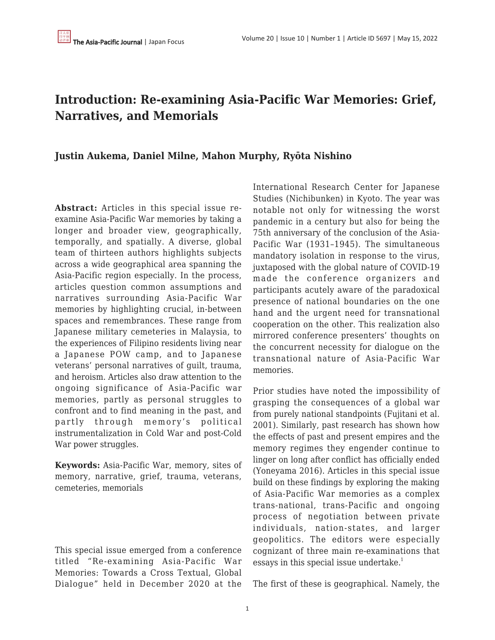## **Introduction: Re-examining Asia-Pacific War Memories: Grief, Narratives, and Memorials**

### **Justin Aukema, Daniel Milne, Mahon Murphy, Ryōta Nishino**

**Abstract:** Articles in this special issue reexamine Asia-Pacific War memories by taking a longer and broader view, geographically, temporally, and spatially. A diverse, global team of thirteen authors highlights subjects across a wide geographical area spanning the Asia-Pacific region especially. In the process, articles question common assumptions and narratives surrounding Asia-Pacific War memories by highlighting crucial, in-between spaces and remembrances. These range from Japanese military cemeteries in Malaysia, to the experiences of Filipino residents living near a Japanese POW camp, and to Japanese veterans' personal narratives of guilt, trauma, and heroism. Articles also draw attention to the ongoing significance of Asia-Pacific war memories, partly as personal struggles to confront and to find meaning in the past, and partly through memory's political instrumentalization in Cold War and post-Cold War power struggles.

**Keywords:** Asia-Pacific War, memory, sites of memory, narrative, grief, trauma, veterans, cemeteries, memorials

This special issue emerged from a conference titled "Re-examining Asia-Pacific War Memories: Towards a Cross Textual, Global Dialogue" held in December 2020 at the International Research Center for Japanese Studies (Nichibunken) in Kyoto. The year was notable not only for witnessing the worst pandemic in a century but also for being the 75th anniversary of the conclusion of the Asia-Pacific War (1931–1945). The simultaneous mandatory isolation in response to the virus, juxtaposed with the global nature of COVID-19 made the conference organizers and participants acutely aware of the paradoxical presence of national boundaries on the one hand and the urgent need for transnational cooperation on the other. This realization also mirrored conference presenters' thoughts on the concurrent necessity for dialogue on the transnational nature of Asia-Pacific War memories.

Prior studies have noted the impossibility of grasping the consequences of a global war from purely national standpoints (Fujitani et al. 2001). Similarly, past research has shown how the effects of past and present empires and the memory regimes they engender continue to linger on long after conflict has officially ended (Yoneyama 2016). Articles in this special issue build on these findings by exploring the making of Asia-Pacific War memories as a complex trans-national, trans-Pacific and ongoing process of negotiation between private individuals, nation-states, and larger geopolitics. The editors were especially cognizant of three main re-examinations that essays in this special issue undertake. $1$ 

The first of these is geographical. Namely, the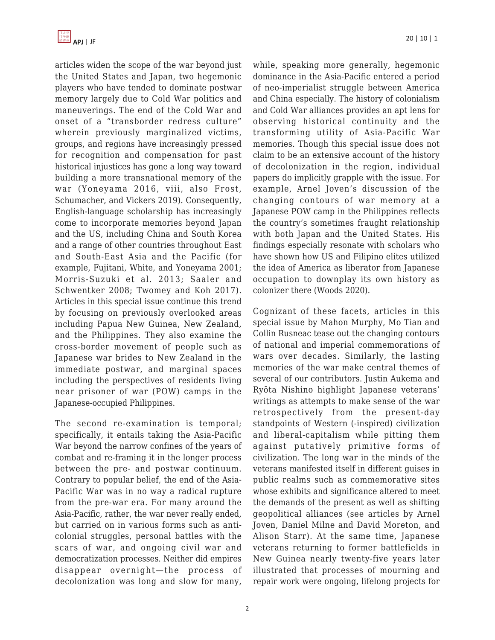articles widen the scope of the war beyond just the United States and Japan, two hegemonic players who have tended to dominate postwar memory largely due to Cold War politics and maneuverings. The end of the Cold War and onset of a "transborder redress culture" wherein previously marginalized victims, groups, and regions have increasingly pressed for recognition and compensation for past historical injustices has gone a long way toward building a more transnational memory of the war (Yoneyama 2016, viii, also Frost, Schumacher, and Vickers 2019). Consequently, English-language scholarship has increasingly come to incorporate memories beyond Japan and the US, including China and South Korea and a range of other countries throughout East and South-East Asia and the Pacific (for example, Fujitani, White, and Yoneyama 2001; Morris-Suzuki et al. 2013; Saaler and Schwentker 2008; Twomey and Koh 2017). Articles in this special issue continue this trend by focusing on previously overlooked areas including Papua New Guinea, New Zealand, and the Philippines. They also examine the cross-border movement of people such as Japanese war brides to New Zealand in the immediate postwar, and marginal spaces including the perspectives of residents living near prisoner of war (POW) camps in the Japanese-occupied Philippines.

The second re-examination is temporal; specifically, it entails taking the Asia-Pacific War beyond the narrow confines of the years of combat and re-framing it in the longer process between the pre- and postwar continuum. Contrary to popular belief, the end of the Asia-Pacific War was in no way a radical rupture from the pre-war era. For many around the Asia-Pacific, rather, the war never really ended, but carried on in various forms such as anticolonial struggles, personal battles with the scars of war, and ongoing civil war and democratization processes. Neither did empires disappear overnight—the process of decolonization was long and slow for many, while, speaking more generally, hegemonic dominance in the Asia-Pacific entered a period of neo-imperialist struggle between America and China especially. The history of colonialism and Cold War alliances provides an apt lens for observing historical continuity and the transforming utility of Asia-Pacific War memories. Though this special issue does not claim to be an extensive account of the history of decolonization in the region, individual papers do implicitly grapple with the issue. For example, Arnel Joven's discussion of the changing contours of war memory at a Japanese POW camp in the Philippines reflects the country's sometimes fraught relationship with both Japan and the United States. His findings especially resonate with scholars who have shown how US and Filipino elites utilized the idea of America as liberator from Japanese occupation to downplay its own history as colonizer there (Woods 2020).

Cognizant of these facets, articles in this special issue by Mahon Murphy, Mo Tian and Collin Rusneac tease out the changing contours of national and imperial commemorations of wars over decades. Similarly, the lasting memories of the war make central themes of several of our contributors. Justin Aukema and Ryōta Nishino highlight Japanese veterans' writings as attempts to make sense of the war retrospectively from the present-day standpoints of Western (-inspired) civilization and liberal-capitalism while pitting them against putatively primitive forms of civilization. The long war in the minds of the veterans manifested itself in different guises in public realms such as commemorative sites whose exhibits and significance altered to meet the demands of the present as well as shifting geopolitical alliances (see articles by Arnel Joven, Daniel Milne and David Moreton, and Alison Starr). At the same time, Japanese veterans returning to former battlefields in New Guinea nearly twenty-five years later illustrated that processes of mourning and repair work were ongoing, lifelong projects for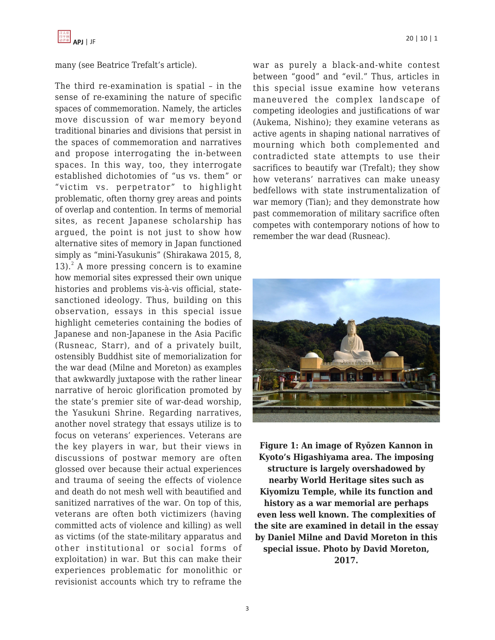

many (see Beatrice Trefalt's article).

The third re-examination is spatial – in the sense of re-examining the nature of specific spaces of commemoration. Namely, the articles move discussion of war memory beyond traditional binaries and divisions that persist in the spaces of commemoration and narratives and propose interrogating the in-between spaces. In this way, too, they interrogate established dichotomies of "us vs. them" or "victim vs. perpetrator" to highlight problematic, often thorny grey areas and points of overlap and contention. In terms of memorial sites, as recent Japanese scholarship has argued, the point is not just to show how alternative sites of memory in Japan functioned simply as "mini-Yasukunis" (Shirakawa 2015, 8,  $13$ ).<sup>2</sup> A more pressing concern is to examine how memorial sites expressed their own unique histories and problems vis-à-vis official, statesanctioned ideology. Thus, building on this observation, essays in this special issue highlight cemeteries containing the bodies of Japanese and non-Japanese in the Asia Pacific (Rusneac, Starr), and of a privately built, ostensibly Buddhist site of memorialization for the war dead (Milne and Moreton) as examples that awkwardly juxtapose with the rather linear narrative of heroic glorification promoted by the state's premier site of war-dead worship, the Yasukuni Shrine. Regarding narratives, another novel strategy that essays utilize is to focus on veterans' experiences. Veterans are the key players in war, but their views in discussions of postwar memory are often glossed over because their actual experiences and trauma of seeing the effects of violence and death do not mesh well with beautified and sanitized narratives of the war. On top of this, veterans are often both victimizers (having committed acts of violence and killing) as well as victims (of the state-military apparatus and other institutional or social forms of exploitation) in war. But this can make their experiences problematic for monolithic or revisionist accounts which try to reframe the war as purely a black-and-white contest between "good" and "evil." Thus, articles in this special issue examine how veterans maneuvered the complex landscape of competing ideologies and justifications of war (Aukema, Nishino); they examine veterans as active agents in shaping national narratives of mourning which both complemented and contradicted state attempts to use their sacrifices to beautify war (Trefalt); they show how veterans' narratives can make uneasy bedfellows with state instrumentalization of war memory (Tian); and they demonstrate how past commemoration of military sacrifice often competes with contemporary notions of how to remember the war dead (Rusneac).



**Figure 1: An image of Ryōzen Kannon in Kyoto's Higashiyama area. The imposing structure is largely overshadowed by nearby World Heritage sites such as Kiyomizu Temple, while its function and history as a war memorial are perhaps even less well known. The complexities of the site are examined in detail in the essay by Daniel Milne and David Moreton in this special issue. Photo by David Moreton, 2017.**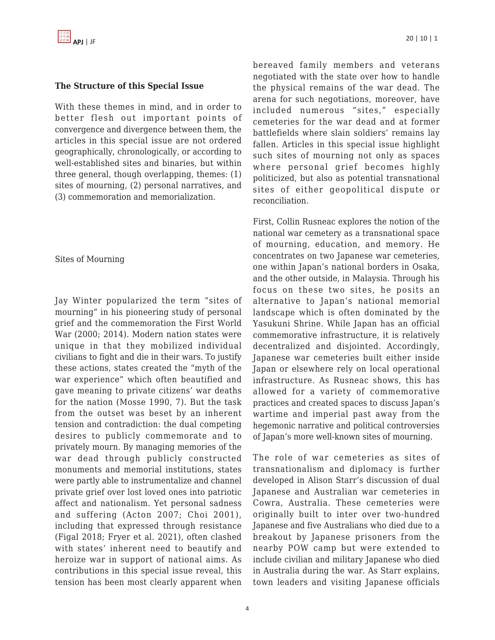#### **The Structure of this Special Issue**

With these themes in mind, and in order to better flesh out important points of convergence and divergence between them, the articles in this special issue are not ordered geographically, chronologically, or according to well-established sites and binaries, but within three general, though overlapping, themes: (1) sites of mourning, (2) personal narratives, and (3) commemoration and memorialization.

#### Sites of Mourning

Jay Winter popularized the term "sites of mourning" in his pioneering study of personal grief and the commemoration the First World War (2000; 2014). Modern nation states were unique in that they mobilized individual civilians to fight and die in their wars. To justify these actions, states created the "myth of the war experience" which often beautified and gave meaning to private citizens' war deaths for the nation (Mosse 1990, 7). But the task from the outset was beset by an inherent tension and contradiction: the dual competing desires to publicly commemorate and to privately mourn. By managing memories of the war dead through publicly constructed monuments and memorial institutions, states were partly able to instrumentalize and channel private grief over lost loved ones into patriotic affect and nationalism. Yet personal sadness and suffering (Acton 2007; Choi 2001), including that expressed through resistance (Figal 2018; Fryer et al. 2021), often clashed with states' inherent need to beautify and heroize war in support of national aims. As contributions in this special issue reveal, this tension has been most clearly apparent when bereaved family members and veterans negotiated with the state over how to handle the physical remains of the war dead. The arena for such negotiations, moreover, have included numerous "sites," especially cemeteries for the war dead and at former battlefields where slain soldiers' remains lay fallen. Articles in this special issue highlight such sites of mourning not only as spaces where personal grief becomes highly politicized, but also as potential transnational sites of either geopolitical dispute or reconciliation.

First, Collin Rusneac explores the notion of the national war cemetery as a transnational space of mourning, education, and memory. He concentrates on two Japanese war cemeteries, one within Japan's national borders in Osaka, and the other outside, in Malaysia. Through his focus on these two sites, he posits an alternative to Japan's national memorial landscape which is often dominated by the Yasukuni Shrine. While Japan has an official commemorative infrastructure, it is relatively decentralized and disjointed. Accordingly, Japanese war cemeteries built either inside Japan or elsewhere rely on local operational infrastructure. As Rusneac shows, this has allowed for a variety of commemorative practices and created spaces to discuss Japan's wartime and imperial past away from the hegemonic narrative and political controversies of Japan's more well-known sites of mourning.

The role of war cemeteries as sites of transnationalism and diplomacy is further developed in Alison Starr's discussion of dual Japanese and Australian war cemeteries in Cowra, Australia. These cemeteries were originally built to inter over two-hundred Japanese and five Australians who died due to a breakout by Japanese prisoners from the nearby POW camp but were extended to include civilian and military Japanese who died in Australia during the war. As Starr explains, town leaders and visiting Japanese officials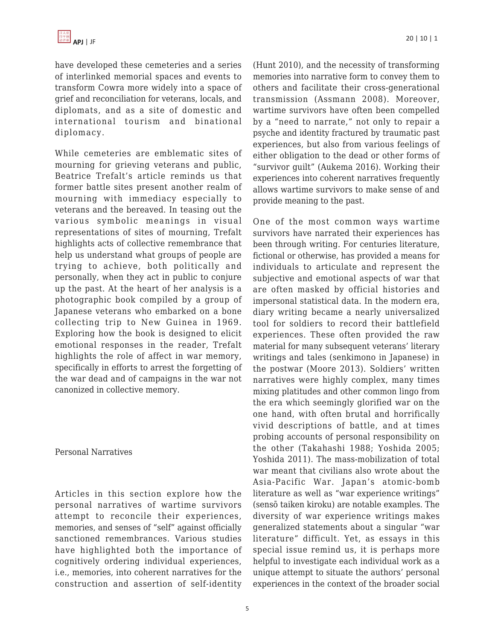have developed these cemeteries and a series of interlinked memorial spaces and events to transform Cowra more widely into a space of grief and reconciliation for veterans, locals, and diplomats, and as a site of domestic and international tourism and binational diplomacy.

While cemeteries are emblematic sites of mourning for grieving veterans and public, Beatrice Trefalt's article reminds us that former battle sites present another realm of mourning with immediacy especially to veterans and the bereaved. In teasing out the various symbolic meanings in visual representations of sites of mourning, Trefalt highlights acts of collective remembrance that help us understand what groups of people are trying to achieve, both politically and personally, when they act in public to conjure up the past. At the heart of her analysis is a photographic book compiled by a group of Japanese veterans who embarked on a bone collecting trip to New Guinea in 1969. Exploring how the book is designed to elicit emotional responses in the reader, Trefalt highlights the role of affect in war memory, specifically in efforts to arrest the forgetting of the war dead and of campaigns in the war not canonized in collective memory.

#### Personal Narratives

Articles in this section explore how the personal narratives of wartime survivors attempt to reconcile their experiences, memories, and senses of "self" against officially sanctioned remembrances. Various studies have highlighted both the importance of cognitively ordering individual experiences, i.e., memories, into coherent narratives for the construction and assertion of self-identity (Hunt 2010), and the necessity of transforming memories into narrative form to convey them to others and facilitate their cross-generational transmission (Assmann 2008). Moreover, wartime survivors have often been compelled by a "need to narrate," not only to repair a psyche and identity fractured by traumatic past experiences, but also from various feelings of either obligation to the dead or other forms of "survivor guilt" (Aukema 2016). Working their experiences into coherent narratives frequently allows wartime survivors to make sense of and provide meaning to the past.

One of the most common ways wartime survivors have narrated their experiences has been through writing. For centuries literature, fictional or otherwise, has provided a means for individuals to articulate and represent the subjective and emotional aspects of war that are often masked by official histories and impersonal statistical data. In the modern era, diary writing became a nearly universalized tool for soldiers to record their battlefield experiences. These often provided the raw material for many subsequent veterans' literary writings and tales (senkimono in Japanese) in the postwar (Moore 2013). Soldiers' written narratives were highly complex, many times mixing platitudes and other common lingo from the era which seemingly glorified war on the one hand, with often brutal and horrifically vivid descriptions of battle, and at times probing accounts of personal responsibility on the other (Takahashi 1988; Yoshida 2005; Yoshida 2011). The mass-mobilization of total war meant that civilians also wrote about the Asia-Pacific War. Japan's atomic-bomb literature as well as "war experience writings" (sensō taiken kiroku) are notable examples. The diversity of war experience writings makes generalized statements about a singular "war literature" difficult. Yet, as essays in this special issue remind us, it is perhaps more helpful to investigate each individual work as a unique attempt to situate the authors' personal experiences in the context of the broader social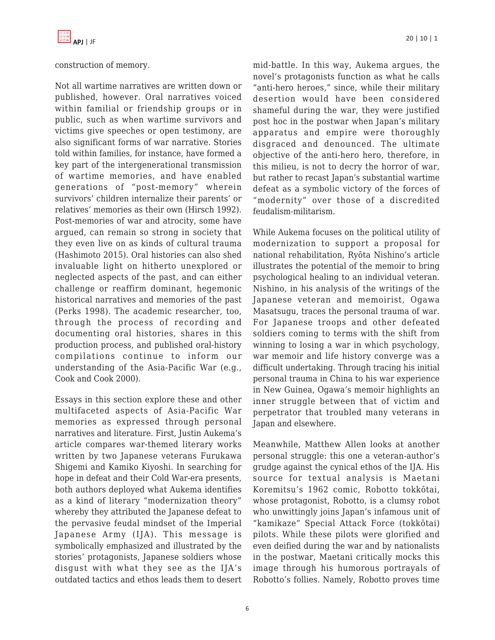

#### construction of memory.

Not all wartime narratives are written down or published, however. Oral narratives voiced within familial or friendship groups or in public, such as when wartime survivors and victims give speeches or open testimony, are also significant forms of war narrative. Stories told within families, for instance, have formed a key part of the intergenerational transmission of wartime memories, and have enabled generations of "post-memory" wherein survivors' children internalize their parents' or relatives' memories as their own (Hirsch 1992). Post-memories of war and atrocity, some have argued, can remain so strong in society that they even live on as kinds of cultural trauma (Hashimoto 2015). Oral histories can also shed invaluable light on hitherto unexplored or neglected aspects of the past, and can either challenge or reaffirm dominant, hegemonic historical narratives and memories of the past (Perks 1998). The academic researcher, too, through the process of recording and documenting oral histories, shares in this production process, and published oral-history compilations continue to inform our understanding of the Asia-Pacific War (e.g., Cook and Cook 2000).

Essays in this section explore these and other multifaceted aspects of Asia-Pacific War memories as expressed through personal narratives and literature. First, Justin Aukema's article compares war-themed literary works written by two Japanese veterans Furukawa Shigemi and Kamiko Kiyoshi. In searching for hope in defeat and their Cold War-era presents, both authors deployed what Aukema identifies as a kind of literary "modernization theory" whereby they attributed the Japanese defeat to the pervasive feudal mindset of the Imperial Japanese Army (IJA). This message is symbolically emphasized and illustrated by the stories' protagonists, Japanese soldiers whose disgust with what they see as the IJA's outdated tactics and ethos leads them to desert mid-battle. In this way, Aukema argues, the novel's protagonists function as what he calls "anti-hero heroes," since, while their military desertion would have been considered shameful during the war, they were justified post hoc in the postwar when Japan's military apparatus and empire were thoroughly disgraced and denounced. The ultimate objective of the anti-hero hero, therefore, in this milieu, is not to decry the horror of war, but rather to recast Japan's substantial wartime defeat as a symbolic victory of the forces of "modernity" over those of a discredited feudalism-militarism.

While Aukema focuses on the political utility of modernization to support a proposal for national rehabilitation, Ryōta Nishino's article illustrates the potential of the memoir to bring psychological healing to an individual veteran. Nishino, in his analysis of the writings of the Japanese veteran and memoirist, Ogawa Masatsugu, traces the personal trauma of war. For Japanese troops and other defeated soldiers coming to terms with the shift from winning to losing a war in which psychology, war memoir and life history converge was a difficult undertaking. Through tracing his initial personal trauma in China to his war experience in New Guinea, Ogawa's memoir highlights an inner struggle between that of victim and perpetrator that troubled many veterans in Japan and elsewhere.

Meanwhile, Matthew Allen looks at another personal struggle: this one a veteran-author's grudge against the cynical ethos of the IJA. His source for textual analysis is Maetani Koremitsu's 1962 comic, Robotto tokkōtai, whose protagonist, Robotto, is a clumsy robot who unwittingly joins Japan's infamous unit of "kamikaze" Special Attack Force (tokkōtai) pilots. While these pilots were glorified and even deified during the war and by nationalists in the postwar, Maetani critically mocks this image through his humorous portrayals of Robotto's follies. Namely, Robotto proves time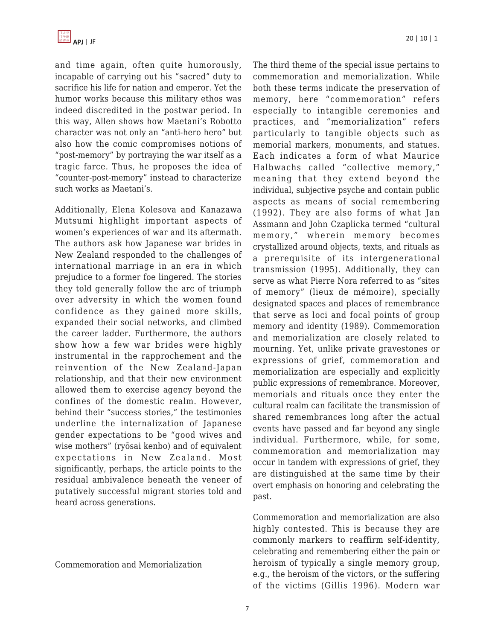

and time again, often quite humorously, incapable of carrying out his "sacred" duty to sacrifice his life for nation and emperor. Yet the humor works because this military ethos was indeed discredited in the postwar period. In this way, Allen shows how Maetani's Robotto character was not only an "anti-hero hero" but also how the comic compromises notions of "post-memory" by portraying the war itself as a tragic farce. Thus, he proposes the idea of "counter-post-memory" instead to characterize such works as Maetani's.

Additionally, Elena Kolesova and Kanazawa Mutsumi highlight important aspects of women's experiences of war and its aftermath. The authors ask how Japanese war brides in New Zealand responded to the challenges of international marriage in an era in which prejudice to a former foe lingered. The stories they told generally follow the arc of triumph over adversity in which the women found confidence as they gained more skills, expanded their social networks, and climbed the career ladder. Furthermore, the authors show how a few war brides were highly instrumental in the rapprochement and the reinvention of the New Zealand-Japan relationship, and that their new environment allowed them to exercise agency beyond the confines of the domestic realm. However, behind their "success stories," the testimonies underline the internalization of Japanese gender expectations to be "good wives and wise mothers" (ryōsai kenbo) and of equivalent expectations in New Zealand. Most significantly, perhaps, the article points to the residual ambivalence beneath the veneer of putatively successful migrant stories told and heard across generations.

Commemoration and Memorialization

The third theme of the special issue pertains to commemoration and memorialization. While both these terms indicate the preservation of memory, here "commemoration" refers especially to intangible ceremonies and practices, and "memorialization" refers particularly to tangible objects such as memorial markers, monuments, and statues. Each indicates a form of what Maurice Halbwachs called "collective memory," meaning that they extend beyond the individual, subjective psyche and contain public aspects as means of social remembering (1992). They are also forms of what Jan Assmann and John Czaplicka termed "cultural memory," wherein memory becomes crystallized around objects, texts, and rituals as a prerequisite of its intergenerational transmission (1995). Additionally, they can serve as what Pierre Nora referred to as "sites of memory" (lieux de mémoire), specially designated spaces and places of remembrance that serve as loci and focal points of group memory and identity (1989). Commemoration and memorialization are closely related to mourning. Yet, unlike private gravestones or expressions of grief, commemoration and memorialization are especially and explicitly public expressions of remembrance. Moreover, memorials and rituals once they enter the cultural realm can facilitate the transmission of shared remembrances long after the actual events have passed and far beyond any single individual. Furthermore, while, for some, commemoration and memorialization may occur in tandem with expressions of grief, they are distinguished at the same time by their overt emphasis on honoring and celebrating the past.

Commemoration and memorialization are also highly contested. This is because they are commonly markers to reaffirm self-identity, celebrating and remembering either the pain or heroism of typically a single memory group, e.g., the heroism of the victors, or the suffering of the victims (Gillis 1996). Modern war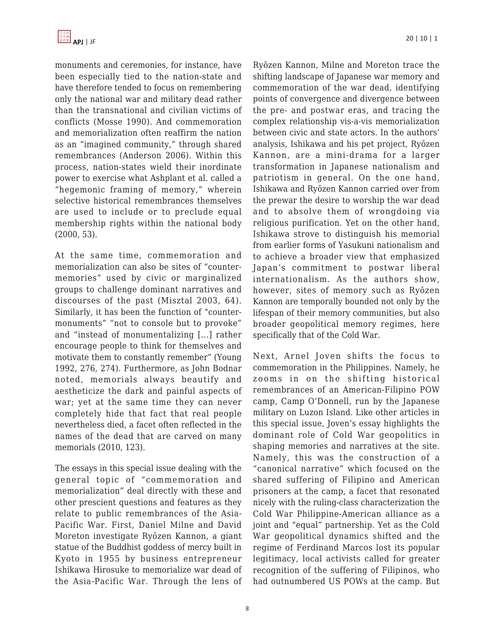

monuments and ceremonies, for instance, have been especially tied to the nation-state and have therefore tended to focus on remembering only the national war and military dead rather than the transnational and civilian victims of conflicts (Mosse 1990). And commemoration and memorialization often reaffirm the nation as an "imagined community," through shared remembrances (Anderson 2006). Within this process, nation-states wield their inordinate power to exercise what Ashplant et al. called a "hegemonic framing of memory," wherein selective historical remembrances themselves are used to include or to preclude equal membership rights within the national body (2000, 53).

At the same time, commemoration and memorialization can also be sites of "countermemories" used by civic or marginalized groups to challenge dominant narratives and discourses of the past (Misztal 2003, 64). Similarly, it has been the function of "countermonuments" "not to console but to provoke" and "instead of monumentalizing [...] rather encourage people to think for themselves and motivate them to constantly remember" (Young 1992, 276, 274). Furthermore, as John Bodnar noted, memorials always beautify and aestheticize the dark and painful aspects of war; yet at the same time they can never completely hide that fact that real people nevertheless died, a facet often reflected in the names of the dead that are carved on many memorials (2010, 123).

The essays in this special issue dealing with the general topic of "commemoration and memorialization" deal directly with these and other prescient questions and features as they relate to public remembrances of the Asia-Pacific War. First, Daniel Milne and David Moreton investigate Ryōzen Kannon, a giant statue of the Buddhist goddess of mercy built in Kyoto in 1955 by business entrepreneur Ishikawa Hirosuke to memorialize war dead of the Asia-Pacific War. Through the lens of Ryōzen Kannon, Milne and Moreton trace the shifting landscape of Japanese war memory and commemoration of the war dead, identifying points of convergence and divergence between the pre- and postwar eras, and tracing the complex relationship vis-a-vis memorialization between civic and state actors. In the authors' analysis, Ishikawa and his pet project, Ryōzen Kannon, are a mini-drama for a larger transformation in Japanese nationalism and patriotism in general. On the one hand, Ishikawa and Ryōzen Kannon carried over from the prewar the desire to worship the war dead and to absolve them of wrongdoing via religious purification. Yet on the other hand, Ishikawa strove to distinguish his memorial from earlier forms of Yasukuni nationalism and to achieve a broader view that emphasized Japan's commitment to postwar liberal internationalism. As the authors show, however, sites of memory such as Ryōzen Kannon are temporally bounded not only by the lifespan of their memory communities, but also broader geopolitical memory regimes, here specifically that of the Cold War.

Next, Arnel Joven shifts the focus to commemoration in the Philippines. Namely, he zooms in on the shifting historical remembrances of an American-Filipino POW camp, Camp O'Donnell, run by the Japanese military on Luzon Island. Like other articles in this special issue, Joven's essay highlights the dominant role of Cold War geopolitics in shaping memories and narratives at the site. Namely, this was the construction of a "canonical narrative" which focused on the shared suffering of Filipino and American prisoners at the camp, a facet that resonated nicely with the ruling-class characterization the Cold War Philippine-American alliance as a joint and "equal" partnership. Yet as the Cold War geopolitical dynamics shifted and the regime of Ferdinand Marcos lost its popular legitimacy, local activists called for greater recognition of the suffering of Filipinos, who had outnumbered US POWs at the camp. But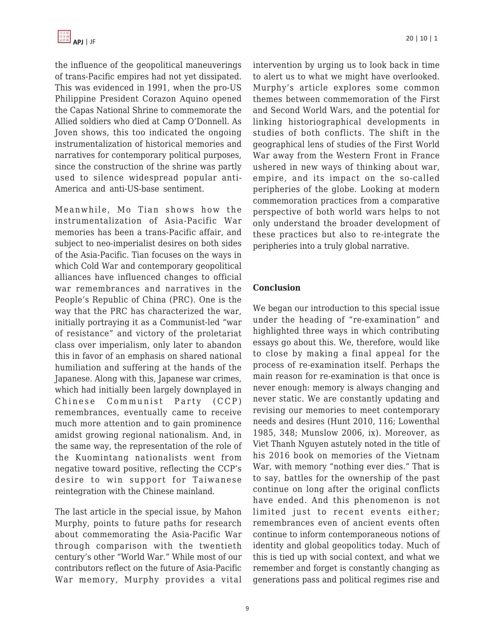

the influence of the geopolitical maneuverings of trans-Pacific empires had not yet dissipated. This was evidenced in 1991, when the pro-US Philippine President Corazon Aquino opened the Capas National Shrine to commemorate the Allied soldiers who died at Camp O'Donnell. As Joven shows, this too indicated the ongoing instrumentalization of historical memories and narratives for contemporary political purposes, since the construction of the shrine was partly used to silence widespread popular anti-America and anti-US-base sentiment.

Meanwhile, Mo Tian shows how the instrumentalization of Asia-Pacific War memories has been a trans-Pacific affair, and subject to neo-imperialist desires on both sides of the Asia-Pacific. Tian focuses on the ways in which Cold War and contemporary geopolitical alliances have influenced changes to official war remembrances and narratives in the People's Republic of China (PRC). One is the way that the PRC has characterized the war, initially portraying it as a Communist-led "war of resistance" and victory of the proletariat class over imperialism, only later to abandon this in favor of an emphasis on shared national humiliation and suffering at the hands of the Japanese. Along with this, Japanese war crimes, which had initially been largely downplayed in Chinese Communist Party (CCP) remembrances, eventually came to receive much more attention and to gain prominence amidst growing regional nationalism. And, in the same way, the representation of the role of the Kuomintang nationalists went from negative toward positive, reflecting the CCP's desire to win support for Taiwanese reintegration with the Chinese mainland.

The last article in the special issue, by Mahon Murphy, points to future paths for research about commemorating the Asia-Pacific War through comparison with the twentieth century's other "World War." While most of our contributors reflect on the future of Asia-Pacific War memory, Murphy provides a vital intervention by urging us to look back in time to alert us to what we might have overlooked. Murphy's article explores some common themes between commemoration of the First and Second World Wars, and the potential for linking historiographical developments in studies of both conflicts. The shift in the geographical lens of studies of the First World War away from the Western Front in France ushered in new ways of thinking about war, empire, and its impact on the so-called peripheries of the globe. Looking at modern commemoration practices from a comparative perspective of both world wars helps to not only understand the broader development of these practices but also to re-integrate the peripheries into a truly global narrative.

#### **Conclusion**

We began our introduction to this special issue under the heading of "re-examination" and highlighted three ways in which contributing essays go about this. We, therefore, would like to close by making a final appeal for the process of re-examination itself. Perhaps the main reason for re-examination is that once is never enough: memory is always changing and never static. We are constantly updating and revising our memories to meet contemporary needs and desires (Hunt 2010, 116; Lowenthal 1985, 348; Munslow 2006, ix). Moreover, as Viet Thanh Nguyen astutely noted in the title of his 2016 book on memories of the Vietnam War, with memory "nothing ever dies." That is to say, battles for the ownership of the past continue on long after the original conflicts have ended. And this phenomenon is not limited just to recent events either; remembrances even of ancient events often continue to inform contemporaneous notions of identity and global geopolitics today. Much of this is tied up with social context, and what we remember and forget is constantly changing as generations pass and political regimes rise and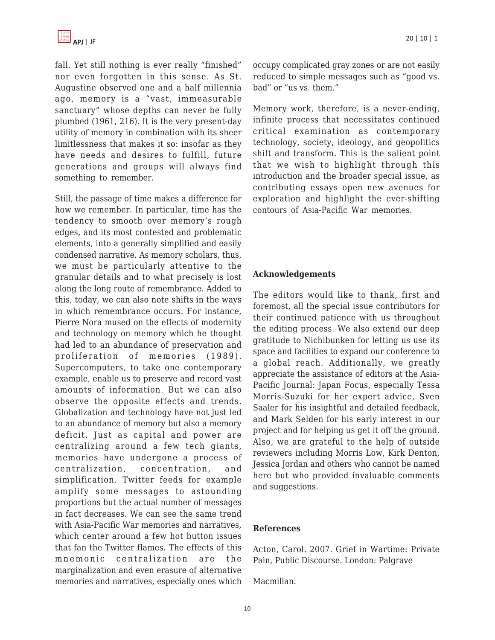fall. Yet still nothing is ever really "finished" nor even forgotten in this sense. As St. Augustine observed one and a half millennia ago, memory is a "vast, immeasurable sanctuary" whose depths can never be fully plumbed (1961, 216). It is the very present-day utility of memory in combination with its sheer limitlessness that makes it so: insofar as they have needs and desires to fulfill, future generations and groups will always find something to remember.

Still, the passage of time makes a difference for how we remember. In particular, time has the tendency to smooth over memory's rough edges, and its most contested and problematic elements, into a generally simplified and easily condensed narrative. As memory scholars, thus, we must be particularly attentive to the granular details and to what precisely is lost along the long route of remembrance. Added to this, today, we can also note shifts in the ways in which remembrance occurs. For instance, Pierre Nora mused on the effects of modernity and technology on memory which he thought had led to an abundance of preservation and proliferation of memories (1989). Supercomputers, to take one contemporary example, enable us to preserve and record vast amounts of information. But we can also observe the opposite effects and trends. Globalization and technology have not just led to an abundance of memory but also a memory deficit. Just as capital and power are centralizing around a few tech giants, memories have undergone a process of centralization, concentration, and simplification. Twitter feeds for example amplify some messages to astounding proportions but the actual number of messages in fact decreases. We can see the same trend with Asia-Pacific War memories and narratives, which center around a few hot button issues that fan the Twitter flames. The effects of this mnemonic centralization are the marginalization and even erasure of alternative memories and narratives, especially ones which occupy complicated gray zones or are not easily reduced to simple messages such as "good vs. bad" or "us vs. them."

Memory work, therefore, is a never-ending, infinite process that necessitates continued critical examination as contemporary technology, society, ideology, and geopolitics shift and transform. This is the salient point that we wish to highlight through this introduction and the broader special issue, as contributing essays open new avenues for exploration and highlight the ever-shifting contours of Asia-Pacific War memories.

#### **Acknowledgements**

The editors would like to thank, first and foremost, all the special issue contributors for their continued patience with us throughout the editing process. We also extend our deep gratitude to Nichibunken for letting us use its space and facilities to expand our conference to a global reach. Additionally, we greatly appreciate the assistance of editors at the Asia-Pacific Journal: Japan Focus, especially Tessa Morris-Suzuki for her expert advice, Sven Saaler for his insightful and detailed feedback, and Mark Selden for his early interest in our project and for helping us get it off the ground. Also, we are grateful to the help of outside reviewers including Morris Low, Kirk Denton, Jessica Jordan and others who cannot be named here but who provided invaluable comments and suggestions.

#### **References**

Acton, Carol. 2007. Grief in Wartime: Private Pain, Public Discourse. London: Palgrave

Macmillan.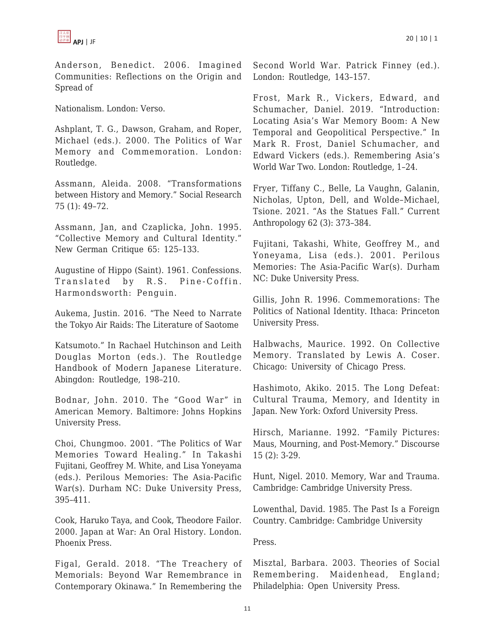

Anderson, Benedict. 2006. Imagined Communities: Reflections on the Origin and Spread of

Nationalism. London: Verso.

Ashplant, T. G., Dawson, Graham, and Roper, Michael (eds.). 2000. The Politics of War Memory and Commemoration. London: Routledge.

Assmann, Aleida. 2008. "Transformations between History and Memory." Social Research 75 (1): 49–72.

Assmann, Jan, and Czaplicka, John. 1995. "Collective Memory and Cultural Identity." New German Critique 65: 125–133.

Augustine of Hippo (Saint). 1961. Confessions. Translated by R.S. Pine-Coffin. Harmondsworth: Penguin.

Aukema, Justin. 2016. "The Need to Narrate the Tokyo Air Raids: The Literature of Saotome

Katsumoto." In Rachael Hutchinson and Leith Douglas Morton (eds.). The Routledge Handbook of Modern Japanese Literature. Abingdon: Routledge, 198–210.

Bodnar, John. 2010. The "Good War" in American Memory. Baltimore: Johns Hopkins University Press.

Choi, Chungmoo. 2001. "The Politics of War Memories Toward Healing." In Takashi Fujitani, Geoffrey M. White, and Lisa Yoneyama (eds.). Perilous Memories: The Asia-Pacific War(s). Durham NC: Duke University Press, 395–411.

Cook, Haruko Taya, and Cook, Theodore Failor. 2000. Japan at War: An Oral History. London. Phoenix Press.

Figal, Gerald. 2018. "The Treachery of Memorials: Beyond War Remembrance in Contemporary Okinawa." In Remembering the Second World War. Patrick Finney (ed.). London: Routledge, 143–157.

Frost, Mark R., Vickers, Edward, and Schumacher, Daniel. 2019. "Introduction: Locating Asia's War Memory Boom: A New Temporal and Geopolitical Perspective." In Mark R. Frost, Daniel Schumacher, and Edward Vickers (eds.). Remembering Asia's World War Two. London: Routledge, 1–24.

Fryer, Tiffany C., Belle, La Vaughn, Galanin, Nicholas, Upton, Dell, and Wolde–Michael, Tsione. 2021. "As the Statues Fall." Current Anthropology 62 (3): 373–384.

Fujitani, Takashi, White, Geoffrey M., and Yoneyama, Lisa (eds.). 2001. Perilous Memories: The Asia-Pacific War(s). Durham NC: Duke University Press.

Gillis, John R. 1996. Commemorations: The Politics of National Identity. Ithaca: Princeton University Press.

Halbwachs, Maurice. 1992. On Collective Memory. Translated by Lewis A. Coser. Chicago: University of Chicago Press.

Hashimoto, Akiko. 2015. The Long Defeat: Cultural Trauma, Memory, and Identity in Japan. New York: Oxford University Press.

Hirsch, Marianne. 1992. "Family Pictures: Maus, Mourning, and Post-Memory." Discourse 15 (2): 3-29.

Hunt, Nigel. 2010. Memory, War and Trauma. Cambridge: Cambridge University Press.

Lowenthal, David. 1985. The Past Is a Foreign Country. Cambridge: Cambridge University

Press.

Misztal, Barbara. 2003. Theories of Social Remembering. Maidenhead, England; Philadelphia: Open University Press.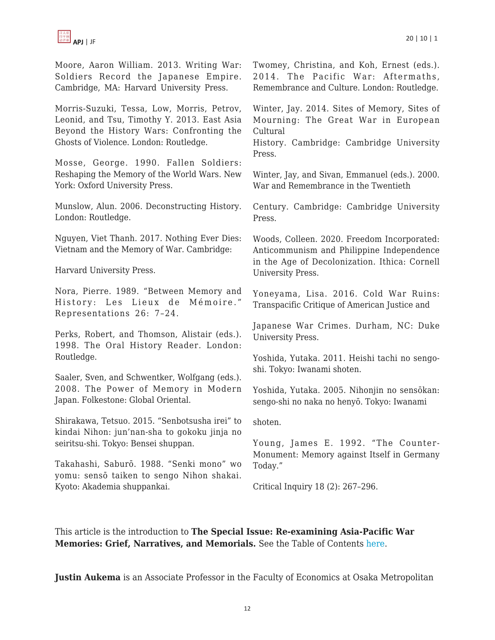

Moore, Aaron William. 2013. Writing War: Soldiers Record the Japanese Empire. Cambridge, MA: Harvard University Press.

Morris-Suzuki, Tessa, Low, Morris, Petrov, Leonid, and Tsu, Timothy Y. 2013. East Asia Beyond the History Wars: Confronting the Ghosts of Violence. London: Routledge.

Mosse, George. 1990. Fallen Soldiers: Reshaping the Memory of the World Wars. New York: Oxford University Press.

Munslow, Alun. 2006. Deconstructing History. London: Routledge.

Nguyen, Viet Thanh. 2017. Nothing Ever Dies: Vietnam and the Memory of War. Cambridge:

Harvard University Press.

Nora, Pierre. 1989. "Between Memory and History: Les Lieux de Mémoire." Representations 26: 7–24.

Perks, Robert, and Thomson, Alistair (eds.). 1998. The Oral History Reader. London: Routledge.

Saaler, Sven, and Schwentker, Wolfgang (eds.). 2008. The Power of Memory in Modern Japan. Folkestone: Global Oriental.

Shirakawa, Tetsuo. 2015. "Senbotsusha irei" to kindai Nihon: jun'nan-sha to gokoku jinja no seiritsu-shi. Tokyo: Bensei shuppan.

Takahashi, Saburō. 1988. "Senki mono" wo yomu: sensō taiken to sengo Nihon shakai. Kyoto: Akademia shuppankai.

Twomey, Christina, and Koh, Ernest (eds.). 2014. The Pacific War: Aftermaths, Remembrance and Culture. London: Routledge.

Winter, Jay. 2014. Sites of Memory, Sites of Mourning: The Great War in European Cultural

History. Cambridge: Cambridge University Press.

Winter, Jay, and Sivan, Emmanuel (eds.). 2000. War and Remembrance in the Twentieth

Century. Cambridge: Cambridge University Press.

Woods, Colleen. 2020. Freedom Incorporated: Anticommunism and Philippine Independence in the Age of Decolonization. Ithica: Cornell University Press.

Yoneyama, Lisa. 2016. Cold War Ruins: Transpacific Critique of American Justice and

Japanese War Crimes. Durham, NC: Duke University Press.

Yoshida, Yutaka. 2011. Heishi tachi no sengoshi. Tokyo: Iwanami shoten.

Yoshida, Yutaka. 2005. Nihonjin no sensōkan: sengo-shi no naka no henyō. Tokyo: Iwanami

shoten.

Young, James E. 1992. "The Counter-Monument: Memory against Itself in Germany Today."

Critical Inquiry 18 (2): 267–296.

This article is the introduction to **The Special Issue: Re-examining Asia-Pacific War Memories: Grief, Narratives, and Memorials.** See the Table of Contents [here](https://apjjf.org/2022/10/ToC.html).

**Justin Aukema** is an Associate Professor in the Faculty of Economics at Osaka Metropolitan